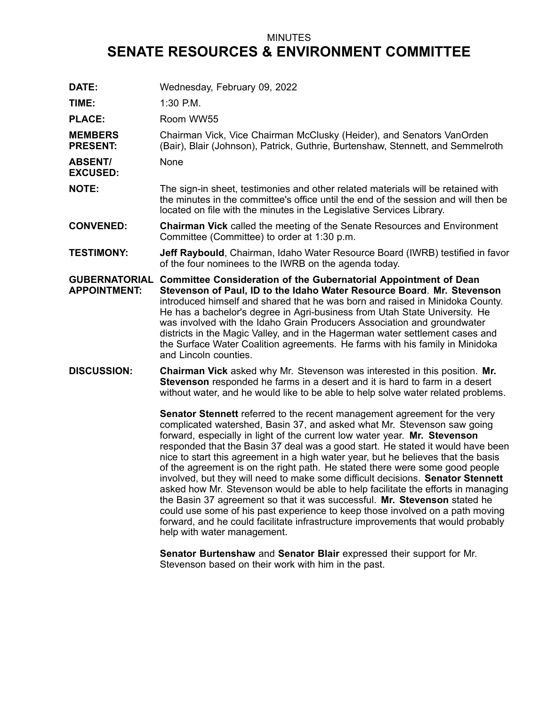## MINUTES **SENATE RESOURCES & ENVIRONMENT COMMITTEE**

**DATE:** Wednesday, February 09, 2022 **TIME:** 1:30 P.M. PLACE: Room WW55 **MEMBERS PRESENT:** Chairman Vick, Vice Chairman McClusky (Heider), and Senators VanOrden (Bair), Blair (Johnson), Patrick, Guthrie, Burtenshaw, Stennett, and Semmelroth **ABSENT/ EXCUSED:** None **NOTE:** The sign-in sheet, testimonies and other related materials will be retained with the minutes in the committee's office until the end of the session and will then be located on file with the minutes in the Legislative Services Library. **CONVENED: Chairman Vick** called the meeting of the Senate Resources and Environment Committee (Committee) to order at 1:30 p.m. **TESTIMONY: Jeff Raybould**, Chairman, Idaho Water Resource Board (IWRB) testified in favor of the four nominees to the IWRB on the agenda today. **GUBERNATORIAL Committee Consideration of the Gubernatorial Appointment of Dean APPOINTMENT: Stevenson of Paul, ID to the Idaho Water Resource Board**. **Mr. Stevenson** introduced himself and shared that he was born and raised in Minidoka County. He has <sup>a</sup> bachelor's degree in Agri-business from Utah State University. He was involved with the Idaho Grain Producers Association and groundwater districts in the Magic Valley, and in the Hagerman water settlement cases and the Surface Water Coalition agreements. He farms with his family in Minidoka and Lincoln counties. **DISCUSSION: Chairman Vick** asked why Mr. Stevenson was interested in this position. **Mr. Stevenson** responded he farms in <sup>a</sup> desert and it is hard to farm in <sup>a</sup> desert without water, and he would like to be able to help solve water related problems. **Senator Stennett** referred to the recent management agreement for the very complicated watershed, Basin 37, and asked what Mr. Stevenson saw going forward, especially in light of the current low water year. **Mr. Stevenson** responded that the Basin 37 deal was <sup>a</sup> good start. He stated it would have been nice to start this agreement in <sup>a</sup> high water year, but he believes that the basis of the agreement is on the right path. He stated there were some good people involved, but they will need to make some difficult decisions. **Senator Stennett** asked how Mr. Stevenson would be able to help facilitate the efforts in managing the Basin 37 agreement so that it was successful. **Mr. Stevenson** stated he could use some of his past experience to keep those involved on <sup>a</sup> path moving forward, and he could facilitate infrastructure improvements that would probably help with water management.

> **Senator Burtenshaw** and **Senator Blair** expressed their support for Mr. Stevenson based on their work with him in the past.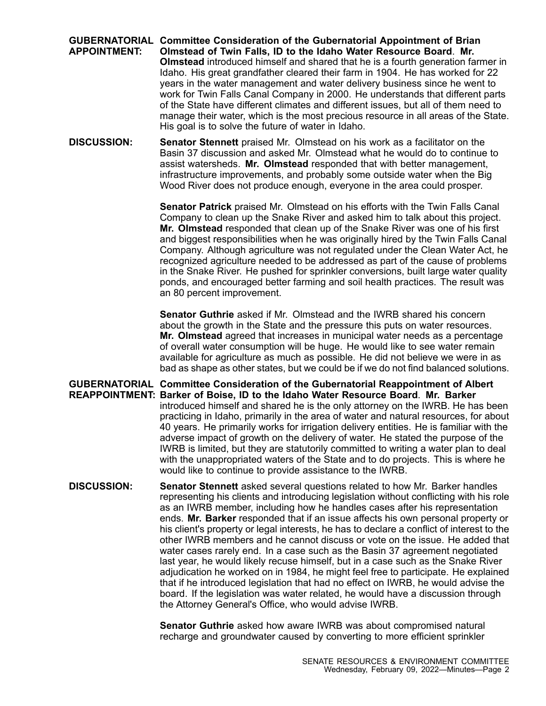## **GUBERNATORIAL Committee Consideration of the Gubernatorial Appointment of Brian APPOINTMENT: Olmstead of Twin Falls, ID to the Idaho Water Resource Board**. **Mr. Olmstead** introduced himself and shared that he is <sup>a</sup> fourth generation farmer in Idaho. His great grandfather cleared their farm in 1904. He has worked for 22 years in the water management and water delivery business since he went to work for Twin Falls Canal Company in 2000. He understands that different parts of the State have different climates and different issues, but all of them need to manage their water, which is the most precious resource in all areas of the State. His goal is to solve the future of water in Idaho.

**DISCUSSION: Senator Stennett** praised Mr. Olmstead on his work as <sup>a</sup> facilitator on the Basin 37 discussion and asked Mr. Olmstead what he would do to continue to assist watersheds. **Mr. Olmstead** responded that with better management, infrastructure improvements, and probably some outside water when the Big Wood River does not produce enough, everyone in the area could prosper.

> **Senator Patrick** praised Mr. Olmstead on his efforts with the Twin Falls Canal Company to clean up the Snake River and asked him to talk about this project. **Mr. Olmstead** responded that clean up of the Snake River was one of his first and biggest responsibilities when he was originally hired by the Twin Falls Canal Company. Although agriculture was not regulated under the Clean Water Act, he recognized agriculture needed to be addressed as part of the cause of problems in the Snake River. He pushed for sprinkler conversions, built large water quality ponds, and encouraged better farming and soil health practices. The result was an 80 percent improvement.

> **Senator Guthrie** asked if Mr. Olmstead and the IWRB shared his concern about the growth in the State and the pressure this puts on water resources. **Mr. Olmstead** agreed that increases in municipal water needs as <sup>a</sup> percentage of overall water consumption will be huge. He would like to see water remain available for agriculture as much as possible. He did not believe we were in as bad as shape as other states, but we could be if we do not find balanced solutions.

**GUBERNATORIAL Committee Consideration of the Gubernatorial Reappointment of Albert REAPPOINTMENT: Barker of Boise, ID to the Idaho Water Resource Board**. **Mr. Barker** introduced himself and shared he is the only attorney on the IWRB. He has been practicing in Idaho, primarily in the area of water and natural resources, for about 40 years. He primarily works for irrigation delivery entities. He is familiar with the adverse impact of growth on the delivery of water. He stated the purpose of the IWRB is limited, but they are statutorily committed to writing <sup>a</sup> water plan to deal with the unappropriated waters of the State and to do projects. This is where he would like to continue to provide assistance to the IWRB.

**DISCUSSION: Senator Stennett** asked several questions related to how Mr. Barker handles representing his clients and introducing legislation without conflicting with his role as an IWRB member, including how he handles cases after his representation ends. **Mr. Barker** responded that if an issue affects his own personal property or his client's property or legal interests, he has to declare <sup>a</sup> conflict of interest to the other IWRB members and he cannot discuss or vote on the issue. He added that water cases rarely end. In <sup>a</sup> case such as the Basin 37 agreement negotiated last year, he would likely recuse himself, but in <sup>a</sup> case such as the Snake River adjudication he worked on in 1984, he might feel free to participate. He explained that if he introduced legislation that had no effect on IWRB, he would advise the board. If the legislation was water related, he would have <sup>a</sup> discussion through the Attorney General's Office, who would advise IWRB.

> **Senator Guthrie** asked how aware IWRB was about compromised natural recharge and groundwater caused by converting to more efficient sprinkler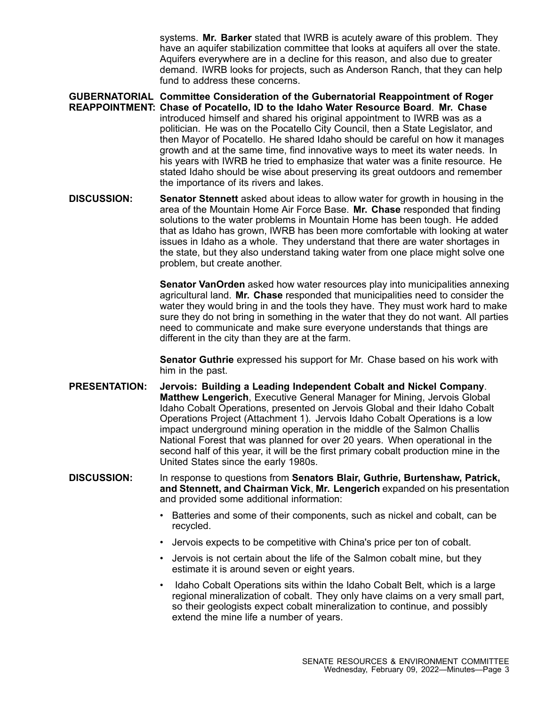systems. **Mr. Barker** stated that IWRB is acutely aware of this problem. They have an aquifer stabilization committee that looks at aquifers all over the state. Aquifers everywhere are in <sup>a</sup> decline for this reason, and also due to greater demand. IWRB looks for projects, such as Anderson Ranch, that they can help fund to address these concerns.

- **GUBERNATORIAL Committee Consideration of the Gubernatorial Reappointment of Roger REAPPOINTMENT: Chase of Pocatello, ID to the Idaho Water Resource Board**. **Mr. Chase** introduced himself and shared his original appointment to IWRB was as <sup>a</sup> politician. He was on the Pocatello City Council, then <sup>a</sup> State Legislator, and then Mayor of Pocatello. He shared Idaho should be careful on how it manages growth and at the same time, find innovative ways to meet its water needs. In his years with IWRB he tried to emphasize that water was <sup>a</sup> finite resource. He stated Idaho should be wise about preserving its great outdoors and remember the importance of its rivers and lakes.
- **DISCUSSION: Senator Stennett** asked about ideas to allow water for growth in housing in the area of the Mountain Home Air Force Base. **Mr. Chase** responded that finding solutions to the water problems in Mountain Home has been tough. He added that as Idaho has grown, IWRB has been more comfortable with looking at water issues in Idaho as <sup>a</sup> whole. They understand that there are water shortages in the state, but they also understand taking water from one place might solve one problem, but create another.

**Senator VanOrden** asked how water resources play into municipalities annexing agricultural land. **Mr. Chase** responded that municipalities need to consider the water they would bring in and the tools they have. They must work hard to make sure they do not bring in something in the water that they do not want. All parties need to communicate and make sure everyone understands that things are different in the city than they are at the farm.

**Senator Guthrie** expressed his support for Mr. Chase based on his work with him in the past.

- **PRESENTATION: Jervois: Building <sup>a</sup> Leading Independent Cobalt and Nickel Company**. **Matthew Lengerich**, Executive General Manager for Mining, Jervois Global Idaho Cobalt Operations, presented on Jervois Global and their Idaho Cobalt Operations Project (Attachment 1). Jervois Idaho Cobalt Operations is <sup>a</sup> low impact underground mining operation in the middle of the Salmon Challis National Forest that was planned for over 20 years. When operational in the second half of this year, it will be the first primary cobalt production mine in the United States since the early 1980s.
- **DISCUSSION:** In response to questions from **Senators Blair, Guthrie, Burtenshaw, Patrick, and Stennett, and Chairman Vick**, **Mr. Lengerich** expanded on his presentation and provided some additional information:
	- • Batteries and some of their components, such as nickel and cobalt, can be recycled.
	- Jervois expects to be competitive with China's price per ton of cobalt.
	- Jervois is not certain about the life of the Salmon cobalt mine, but they estimate it is around seven or eight years.
	- • Idaho Cobalt Operations sits within the Idaho Cobalt Belt, which is <sup>a</sup> large regional mineralization of cobalt. They only have claims on <sup>a</sup> very small part, so their geologists expect cobalt mineralization to continue, and possibly extend the mine life <sup>a</sup> number of years.